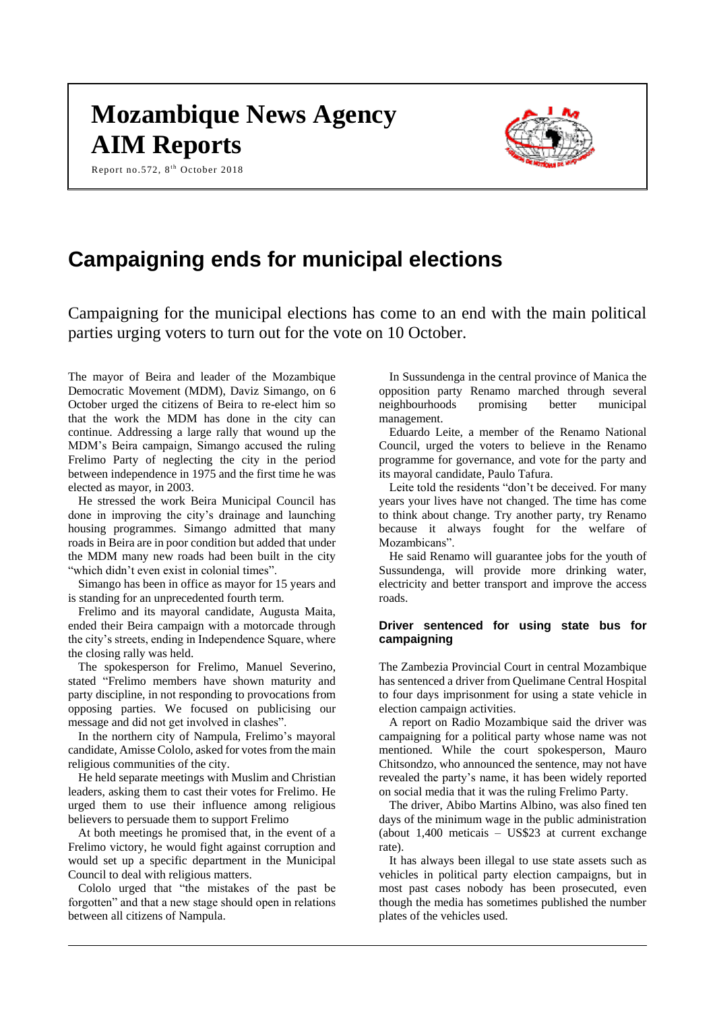# **Mozambique News Agency AIM Reports**

Report no.572, 8<sup>th</sup> October 2018



# **Campaigning ends for municipal elections**

Campaigning for the municipal elections has come to an end with the main political parties urging voters to turn out for the vote on 10 October.

The mayor of Beira and leader of the Mozambique Democratic Movement (MDM), Daviz Simango, on 6 October urged the citizens of Beira to re-elect him so that the work the MDM has done in the city can continue. Addressing a large rally that wound up the MDM's Beira campaign, Simango accused the ruling Frelimo Party of neglecting the city in the period between independence in 1975 and the first time he was elected as mayor, in 2003.

He stressed the work Beira Municipal Council has done in improving the city's drainage and launching housing programmes. Simango admitted that many roads in Beira are in poor condition but added that under the MDM many new roads had been built in the city "which didn't even exist in colonial times".

Simango has been in office as mayor for 15 years and is standing for an unprecedented fourth term.

Frelimo and its mayoral candidate, Augusta Maita, ended their Beira campaign with a motorcade through the city's streets, ending in Independence Square, where the closing rally was held.

The spokesperson for Frelimo, Manuel Severino, stated "Frelimo members have shown maturity and party discipline, in not responding to provocations from opposing parties. We focused on publicising our message and did not get involved in clashes".

In the northern city of Nampula, Frelimo's mayoral candidate, Amisse Cololo, asked for votes from the main religious communities of the city.

He held separate meetings with Muslim and Christian leaders, asking them to cast their votes for Frelimo. He urged them to use their influence among religious believers to persuade them to support Frelimo

At both meetings he promised that, in the event of a Frelimo victory, he would fight against corruption and would set up a specific department in the Municipal Council to deal with religious matters.

Cololo urged that "the mistakes of the past be forgotten" and that a new stage should open in relations between all citizens of Nampula.

In Sussundenga in the central province of Manica the opposition party Renamo marched through several neighbourhoods promising better municipal management.

Eduardo Leite, a member of the Renamo National Council, urged the voters to believe in the Renamo programme for governance, and vote for the party and its mayoral candidate, Paulo Tafura.

Leite told the residents "don't be deceived. For many years your lives have not changed. The time has come to think about change. Try another party, try Renamo because it always fought for the welfare of Mozambicans".

He said Renamo will guarantee jobs for the youth of Sussundenga, will provide more drinking water, electricity and better transport and improve the access roads.

# **Driver sentenced for using state bus for campaigning**

The Zambezia Provincial Court in central Mozambique has sentenced a driver from Quelimane Central Hospital to four days imprisonment for using a state vehicle in election campaign activities.

A report on Radio Mozambique said the driver was campaigning for a political party whose name was not mentioned. While the court spokesperson, Mauro Chitsondzo, who announced the sentence, may not have revealed the party's name, it has been widely reported on social media that it was the ruling Frelimo Party.

The driver, Abibo Martins Albino, was also fined ten days of the minimum wage in the public administration (about 1,400 meticais – US\$23 at current exchange rate).

It has always been illegal to use state assets such as vehicles in political party election campaigns, but in most past cases nobody has been prosecuted, even though the media has sometimes published the number plates of the vehicles used.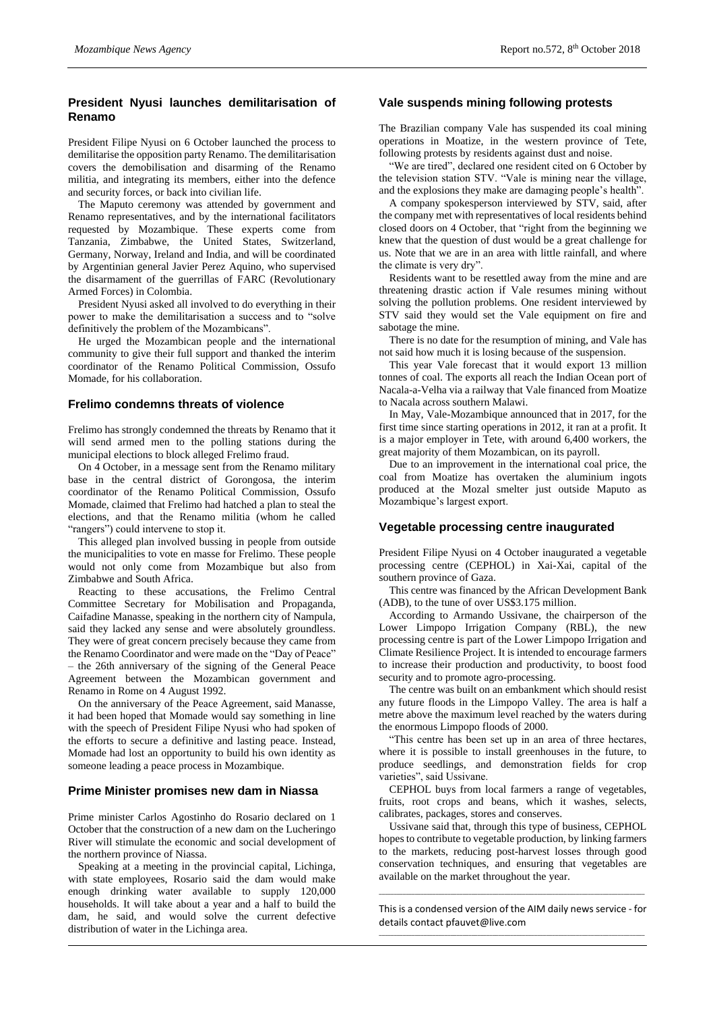# **President Nyusi launches demilitarisation of Renamo**

President Filipe Nyusi on 6 October launched the process to demilitarise the opposition party Renamo. The demilitarisation covers the demobilisation and disarming of the Renamo militia, and integrating its members, either into the defence and security forces, or back into civilian life.

The Maputo ceremony was attended by government and Renamo representatives, and by the international facilitators requested by Mozambique. These experts come from Tanzania, Zimbabwe, the United States, Switzerland, Germany, Norway, Ireland and India, and will be coordinated by Argentinian general Javier Perez Aquino, who supervised the disarmament of the guerrillas of FARC (Revolutionary Armed Forces) in Colombia.

President Nyusi asked all involved to do everything in their power to make the demilitarisation a success and to "solve definitively the problem of the Mozambicans".

He urged the Mozambican people and the international community to give their full support and thanked the interim coordinator of the Renamo Political Commission, Ossufo Momade, for his collaboration.

#### **Frelimo condemns threats of violence**

Frelimo has strongly condemned the threats by Renamo that it will send armed men to the polling stations during the municipal elections to block alleged Frelimo fraud.

On 4 October, in a message sent from the Renamo military base in the central district of Gorongosa, the interim coordinator of the Renamo Political Commission, Ossufo Momade, claimed that Frelimo had hatched a plan to steal the elections, and that the Renamo militia (whom he called "rangers") could intervene to stop it.

This alleged plan involved bussing in people from outside the municipalities to vote en masse for Frelimo. These people would not only come from Mozambique but also from Zimbabwe and South Africa.

Reacting to these accusations, the Frelimo Central Committee Secretary for Mobilisation and Propaganda, Caifadine Manasse, speaking in the northern city of Nampula, said they lacked any sense and were absolutely groundless. They were of great concern precisely because they came from the Renamo Coordinator and were made on the "Day of Peace" – the 26th anniversary of the signing of the General Peace Agreement between the Mozambican government and Renamo in Rome on 4 August 1992.

On the anniversary of the Peace Agreement, said Manasse, it had been hoped that Momade would say something in line with the speech of President Filipe Nyusi who had spoken of the efforts to secure a definitive and lasting peace. Instead, Momade had lost an opportunity to build his own identity as someone leading a peace process in Mozambique.

#### **Prime Minister promises new dam in Niassa**

Prime minister Carlos Agostinho do Rosario declared on 1 October that the construction of a new dam on the Lucheringo River will stimulate the economic and social development of the northern province of Niassa.

Speaking at a meeting in the provincial capital, Lichinga, with state employees, Rosario said the dam would make enough drinking water available to supply 120,000 households. It will take about a year and a half to build the dam, he said, and would solve the current defective distribution of water in the Lichinga area.

### **Vale suspends mining following protests**

The Brazilian company Vale has suspended its coal mining operations in Moatize, in the western province of Tete, following protests by residents against dust and noise.

"We are tired", declared one resident cited on 6 October by the television station STV. "Vale is mining near the village, and the explosions they make are damaging people's health".

A company spokesperson interviewed by STV, said, after the company met with representatives of local residents behind closed doors on 4 October, that "right from the beginning we knew that the question of dust would be a great challenge for us. Note that we are in an area with little rainfall, and where the climate is very dry".

Residents want to be resettled away from the mine and are threatening drastic action if Vale resumes mining without solving the pollution problems. One resident interviewed by STV said they would set the Vale equipment on fire and sabotage the mine.

There is no date for the resumption of mining, and Vale has not said how much it is losing because of the suspension.

This year Vale forecast that it would export 13 million tonnes of coal. The exports all reach the Indian Ocean port of Nacala-a-Velha via a railway that Vale financed from Moatize to Nacala across southern Malawi.

In May, Vale-Mozambique announced that in 2017, for the first time since starting operations in 2012, it ran at a profit. It is a major employer in Tete, with around 6,400 workers, the great majority of them Mozambican, on its payroll.

Due to an improvement in the international coal price, the coal from Moatize has overtaken the aluminium ingots produced at the Mozal smelter just outside Maputo as Mozambique's largest export.

#### **Vegetable processing centre inaugurated**

President Filipe Nyusi on 4 October inaugurated a vegetable processing centre (CEPHOL) in Xai-Xai, capital of the southern province of Gaza.

This centre was financed by the African Development Bank (ADB), to the tune of over US\$3.175 million.

According to Armando Ussivane, the chairperson of the Lower Limpopo Irrigation Company (RBL), the new processing centre is part of the Lower Limpopo Irrigation and Climate Resilience Project. It is intended to encourage farmers to increase their production and productivity, to boost food security and to promote agro-processing.

The centre was built on an embankment which should resist any future floods in the Limpopo Valley. The area is half a metre above the maximum level reached by the waters during the enormous Limpopo floods of 2000.

"This centre has been set up in an area of three hectares, where it is possible to install greenhouses in the future, to produce seedlings, and demonstration fields for crop varieties", said Ussivane.

CEPHOL buys from local farmers a range of vegetables, fruits, root crops and beans, which it washes, selects, calibrates, packages, stores and conserves.

Ussivane said that, through this type of business, CEPHOL hopes to contribute to vegetable production, by linking farmers to the markets, reducing post-harvest losses through good conservation techniques, and ensuring that vegetables are available on the market throughout the year.

This is a condensed version of the AIM daily news service - for details contac[t pfauvet@live.com](mailto:pfauvet@live.com) \_\_\_\_\_\_\_\_\_\_\_\_\_\_\_\_\_\_\_\_\_\_\_\_\_\_\_\_\_\_\_\_\_\_\_\_\_\_\_\_\_\_\_\_\_\_\_\_\_\_\_\_\_\_\_\_\_\_\_\_\_\_\_\_\_\_\_\_\_\_\_\_\_\_\_\_\_\_\_\_\_\_\_\_\_\_\_\_\_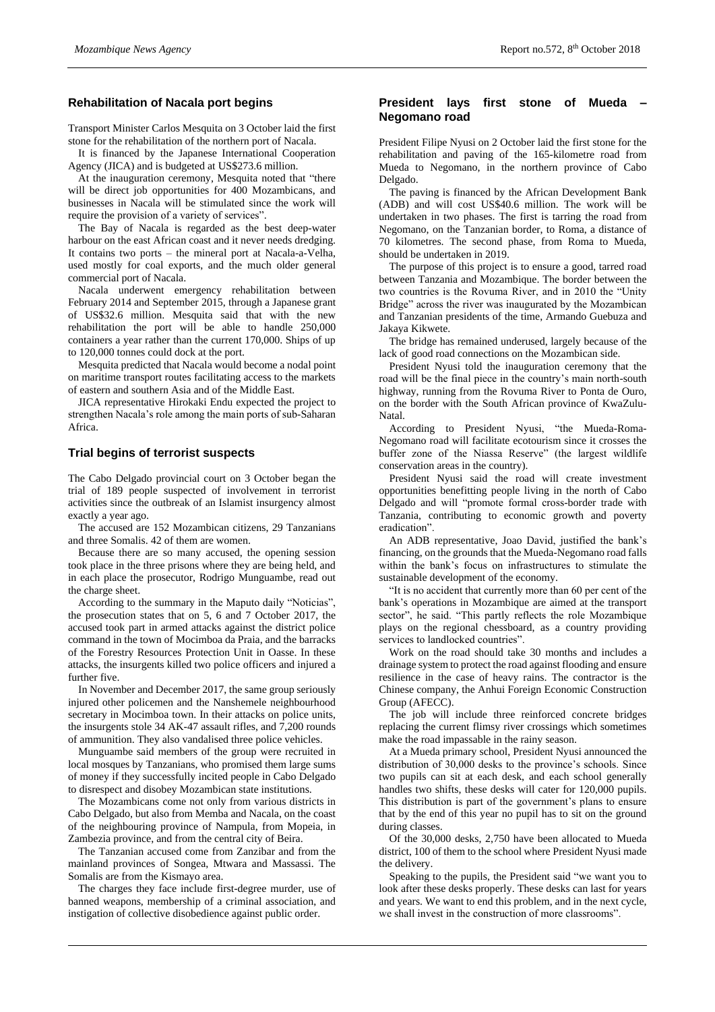#### **Rehabilitation of Nacala port begins**

Transport Minister Carlos Mesquita on 3 October laid the first stone for the rehabilitation of the northern port of Nacala.

It is financed by the Japanese International Cooperation Agency (JICA) and is budgeted at US\$273.6 million.

At the inauguration ceremony, Mesquita noted that "there will be direct job opportunities for 400 Mozambicans, and businesses in Nacala will be stimulated since the work will require the provision of a variety of services".

The Bay of Nacala is regarded as the best deep-water harbour on the east African coast and it never needs dredging. It contains two ports – the mineral port at Nacala-a-Velha, used mostly for coal exports, and the much older general commercial port of Nacala.

Nacala underwent emergency rehabilitation between February 2014 and September 2015, through a Japanese grant of US\$32.6 million. Mesquita said that with the new rehabilitation the port will be able to handle 250,000 containers a year rather than the current 170,000. Ships of up to 120,000 tonnes could dock at the port.

Mesquita predicted that Nacala would become a nodal point on maritime transport routes facilitating access to the markets of eastern and southern Asia and of the Middle East.

JICA representative Hirokaki Endu expected the project to strengthen Nacala's role among the main ports of sub-Saharan Africa.

## **Trial begins of terrorist suspects**

The Cabo Delgado provincial court on 3 October began the trial of 189 people suspected of involvement in terrorist activities since the outbreak of an Islamist insurgency almost exactly a year ago.

The accused are 152 Mozambican citizens, 29 Tanzanians and three Somalis. 42 of them are women.

Because there are so many accused, the opening session took place in the three prisons where they are being held, and in each place the prosecutor, Rodrigo Munguambe, read out the charge sheet.

According to the summary in the Maputo daily "Noticias", the prosecution states that on 5, 6 and 7 October 2017, the accused took part in armed attacks against the district police command in the town of Mocimboa da Praia, and the barracks of the Forestry Resources Protection Unit in Oasse. In these attacks, the insurgents killed two police officers and injured a further five.

In November and December 2017, the same group seriously injured other policemen and the Nanshemele neighbourhood secretary in Mocimboa town. In their attacks on police units, the insurgents stole 34 AK-47 assault rifles, and 7,200 rounds of ammunition. They also vandalised three police vehicles.

Munguambe said members of the group were recruited in local mosques by Tanzanians, who promised them large sums of money if they successfully incited people in Cabo Delgado to disrespect and disobey Mozambican state institutions.

The Mozambicans come not only from various districts in Cabo Delgado, but also from Memba and Nacala, on the coast of the neighbouring province of Nampula, from Mopeia, in Zambezia province, and from the central city of Beira.

The Tanzanian accused come from Zanzibar and from the mainland provinces of Songea, Mtwara and Massassi. The Somalis are from the Kismayo area.

The charges they face include first-degree murder, use of banned weapons, membership of a criminal association, and instigation of collective disobedience against public order.

#### **President lays first stone of Mueda – Negomano road**

President Filipe Nyusi on 2 October laid the first stone for the rehabilitation and paving of the 165-kilometre road from Mueda to Negomano, in the northern province of Cabo Delgado.

The paving is financed by the African Development Bank (ADB) and will cost US\$40.6 million. The work will be undertaken in two phases. The first is tarring the road from Negomano, on the Tanzanian border, to Roma, a distance of 70 kilometres. The second phase, from Roma to Mueda, should be undertaken in 2019.

The purpose of this project is to ensure a good, tarred road between Tanzania and Mozambique. The border between the two countries is the Rovuma River, and in 2010 the "Unity Bridge" across the river was inaugurated by the Mozambican and Tanzanian presidents of the time, Armando Guebuza and Jakaya Kikwete.

The bridge has remained underused, largely because of the lack of good road connections on the Mozambican side.

President Nyusi told the inauguration ceremony that the road will be the final piece in the country's main north-south highway, running from the Rovuma River to Ponta de Ouro, on the border with the South African province of KwaZulu-Natal.

According to President Nyusi, "the Mueda-Roma-Negomano road will facilitate ecotourism since it crosses the buffer zone of the Niassa Reserve" (the largest wildlife conservation areas in the country).

President Nyusi said the road will create investment opportunities benefitting people living in the north of Cabo Delgado and will "promote formal cross-border trade with Tanzania, contributing to economic growth and poverty eradication".

An ADB representative, Joao David, justified the bank's financing, on the grounds that the Mueda-Negomano road falls within the bank's focus on infrastructures to stimulate the sustainable development of the economy.

"It is no accident that currently more than 60 per cent of the bank's operations in Mozambique are aimed at the transport sector", he said. "This partly reflects the role Mozambique plays on the regional chessboard, as a country providing services to landlocked countries".

Work on the road should take 30 months and includes a drainage system to protect the road against flooding and ensure resilience in the case of heavy rains. The contractor is the Chinese company, the Anhui Foreign Economic Construction Group (AFECC).

The job will include three reinforced concrete bridges replacing the current flimsy river crossings which sometimes make the road impassable in the rainy season.

At a Mueda primary school, President Nyusi announced the distribution of 30,000 desks to the province's schools. Since two pupils can sit at each desk, and each school generally handles two shifts, these desks will cater for 120,000 pupils. This distribution is part of the government's plans to ensure that by the end of this year no pupil has to sit on the ground during classes.

Of the 30,000 desks, 2,750 have been allocated to Mueda district, 100 of them to the school where President Nyusi made the delivery.

Speaking to the pupils, the President said "we want you to look after these desks properly. These desks can last for years and years. We want to end this problem, and in the next cycle, we shall invest in the construction of more classrooms".